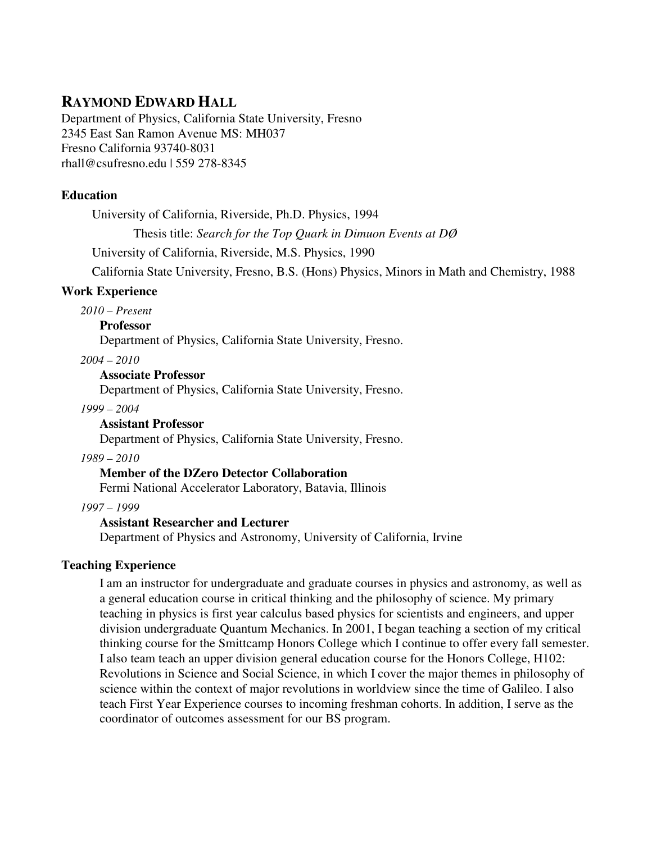# **RAYMOND EDWARD HALL**

Department of Physics, California State University, Fresno 2345 East San Ramon Avenue MS: MH037 Fresno California 93740-8031 rhall@csufresno.edu | 559 278-8345

# **Education**

University of California, Riverside, Ph.D. Physics, 1994

Thesis title: *Search for the Top Quark in Dimuon Events at DØ*

University of California, Riverside, M.S. Physics, 1990

California State University, Fresno, B.S. (Hons) Physics, Minors in Math and Chemistry, 1988

## **Work Experience**

*2010 – Present* 

**Professor** 

Department of Physics, California State University, Fresno.

*2004 – 2010*

#### **Associate Professor**

Department of Physics, California State University, Fresno.

#### *1999 – 2004*

## **Assistant Professor**

Department of Physics, California State University, Fresno.

# *1989 – 2010*

# **Member of the DZero Detector Collaboration**

Fermi National Accelerator Laboratory, Batavia, Illinois

*1997 – 1999* 

## **Assistant Researcher and Lecturer**

Department of Physics and Astronomy, University of California, Irvine

## **Teaching Experience**

I am an instructor for undergraduate and graduate courses in physics and astronomy, as well as a general education course in critical thinking and the philosophy of science. My primary teaching in physics is first year calculus based physics for scientists and engineers, and upper division undergraduate Quantum Mechanics. In 2001, I began teaching a section of my critical thinking course for the Smittcamp Honors College which I continue to offer every fall semester. I also team teach an upper division general education course for the Honors College, H102: Revolutions in Science and Social Science, in which I cover the major themes in philosophy of science within the context of major revolutions in worldview since the time of Galileo. I also teach First Year Experience courses to incoming freshman cohorts. In addition, I serve as the coordinator of outcomes assessment for our BS program.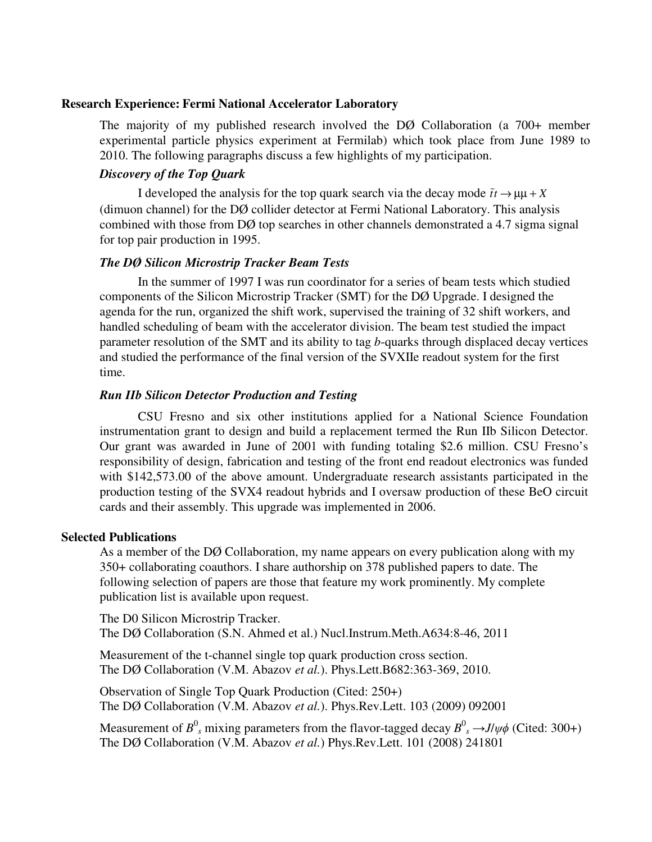#### **Research Experience: Fermi National Accelerator Laboratory**

The majority of my published research involved the DØ Collaboration (a 700+ member experimental particle physics experiment at Fermilab) which took place from June 1989 to 2010. The following paragraphs discuss a few highlights of my participation.

### *Discovery of the Top Quark*

I developed the analysis for the top quark search via the decay mode  $\bar{t}t \rightarrow \mu\mu + X$ (dimuon channel) for the DØ collider detector at Fermi National Laboratory. This analysis combined with those from DØ top searches in other channels demonstrated a 4.7 sigma signal for top pair production in 1995.

#### *The DØ Silicon Microstrip Tracker Beam Tests*

 In the summer of 1997 I was run coordinator for a series of beam tests which studied components of the Silicon Microstrip Tracker (SMT) for the DØ Upgrade. I designed the agenda for the run, organized the shift work, supervised the training of 32 shift workers, and handled scheduling of beam with the accelerator division. The beam test studied the impact parameter resolution of the SMT and its ability to tag *b*-quarks through displaced decay vertices and studied the performance of the final version of the SVXIIe readout system for the first time.

# *Run IIb Silicon Detector Production and Testing*

 CSU Fresno and six other institutions applied for a National Science Foundation instrumentation grant to design and build a replacement termed the Run IIb Silicon Detector. Our grant was awarded in June of 2001 with funding totaling \$2.6 million. CSU Fresno's responsibility of design, fabrication and testing of the front end readout electronics was funded with \$142,573.00 of the above amount. Undergraduate research assistants participated in the production testing of the SVX4 readout hybrids and I oversaw production of these BeO circuit cards and their assembly. This upgrade was implemented in 2006.

#### **Selected Publications**

As a member of the DØ Collaboration, my name appears on every publication along with my 350+ collaborating coauthors. I share authorship on 378 published papers to date. The following selection of papers are those that feature my work prominently. My complete publication list is available upon request.

The D0 Silicon Microstrip Tracker. The DØ Collaboration (S.N. Ahmed et al.) Nucl.Instrum.Meth.A634:8-46, 2011

Measurement of the t-channel single top quark production cross section. The DØ Collaboration (V.M. Abazov *et al.*). Phys.Lett.B682:363-369, 2010.

Observation of Single Top Quark Production (Cited: 250+) The DØ Collaboration (V.M. Abazov *et al.*). Phys.Rev.Lett. 103 (2009) 092001

Measurement of  $B^0$ <sub>s</sub> mixing parameters from the flavor-tagged decay  $B^0$ <sub>s</sub>  $\rightarrow$ *J*/ $\psi \phi$  (Cited: 300+) The DØ Collaboration (V.M. Abazov *et al.*) Phys.Rev.Lett. 101 (2008) 241801